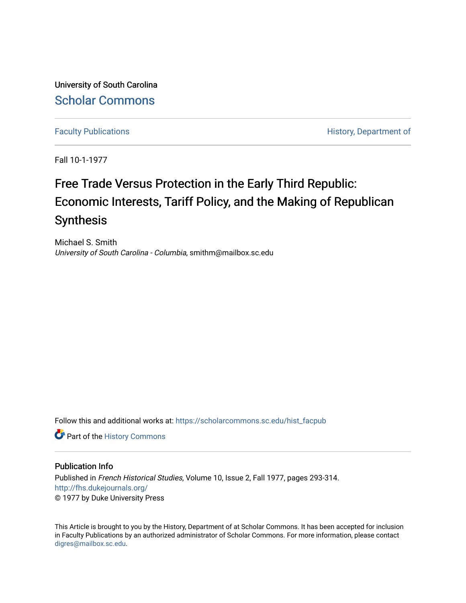University of South Carolina [Scholar Commons](https://scholarcommons.sc.edu/) 

[Faculty Publications](https://scholarcommons.sc.edu/hist_facpub) **Faculty** Publications **History, Department of** 

Fall 10-1-1977

## Free Trade Versus Protection in the Early Third Republic: Economic Interests, Tariff Policy, and the Making of Republican Synthesis

Michael S. Smith University of South Carolina - Columbia, smithm@mailbox.sc.edu

Follow this and additional works at: [https://scholarcommons.sc.edu/hist\\_facpub](https://scholarcommons.sc.edu/hist_facpub?utm_source=scholarcommons.sc.edu%2Fhist_facpub%2F189&utm_medium=PDF&utm_campaign=PDFCoverPages) 

Part of the [History Commons](http://network.bepress.com/hgg/discipline/489?utm_source=scholarcommons.sc.edu%2Fhist_facpub%2F189&utm_medium=PDF&utm_campaign=PDFCoverPages) 

## Publication Info

Published in French Historical Studies, Volume 10, Issue 2, Fall 1977, pages 293-314. <http://fhs.dukejournals.org/> © 1977 by Duke University Press

This Article is brought to you by the History, Department of at Scholar Commons. It has been accepted for inclusion in Faculty Publications by an authorized administrator of Scholar Commons. For more information, please contact [digres@mailbox.sc.edu](mailto:digres@mailbox.sc.edu).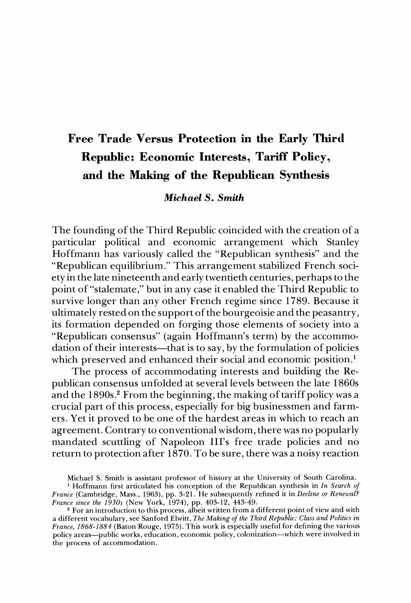## **Free Trade Versus Protection in the Early Third Republic: Economic Interests, Tariff Policy, and the Making of the Republican Synthesis**

## **Michael S. Smith**

**The founding of the Third Republic coincided with the creation of a particular political and economic arrangement which Stanley Hoffmann has variously called the "Republican synthesis" and the "Republican equilibrium." This arrangement stabilized French society in the late nineteenth and early twentieth centuries, perhaps to the point of"stalemate," but in any case it enabled the Third Republic to survive longer than any other French regime since 1789. Because it ultimately rested on the support of the bourgeoisie and the peasantry, its formation depended on forging those elements of society into a "Republican consensus" (again Hoffmann's term) by the accommo**dation of their interests—that is to say, by the formulation of policies **which preserved and enhanced their social and economic position.'** 

**The process of accommodating interests and building the Republican consensus unfolded at several levels between the late 1860s and the 1890s.2 From the beginning, the making of tariff policy was a crucial part of this process, especially for big businessmen and farmers. Yet it proved to be one of the hardest areas in which to reach an agreement. Contrary to conventional wisdom, there was no popularly mandated scuttling of Napoleon III's free trade policies and no return to protection after 1870. To be sure, there was a noisy reaction** 

**Michael S. Smith is assistant professor of history at the University of South Carolina.** 

**<sup>1</sup> Hoffmann first articulated his conception of the Republican synthesis in In Search of France (Cambridge, Mass., 1963), pp. 3-21. He subsequently refined it in Decline or Renewal? France since the 1930s (New York, 1974), pp. 403-12, 443-49.** 

**<sup>2</sup>For an introduction to this process, albeit written from a different point of view and with a different vocabulary, see Sanford Elwitt, The Making of the Third Republic: Class and Politics in France, 1868-1884 (Baton Rouge, 1975). This work is especially useful for defining the various policy areas-public works, education, economic policy, colonization-which were involved in the process of accommodation.**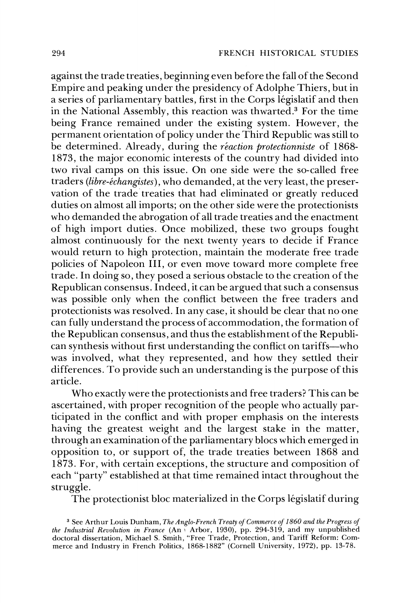**against the trade treaties, beginning even before the fall of the Second Empire and peaking under the presidency of Adolphe Thiers, but in a series of parliamentary battles, first in the Corps legislatif and then in the National Assembly, this reaction was thwarted.3 For the time being France remained under the existing system. However, the permanent orientation of policy under the Third Republic was still to**  be determined. Already, during the *réaction protectionniste* of 1868-**1873, the major economic interests of the country had divided into two rival camps on this issue. On one side were the so-called free**  traders (libre-échangistes), who demanded, at the very least, the preser**vation of the trade treaties that had eliminated or greatly reduced duties on almost all imports; on the other side were the protectionists who demanded the abrogation of all trade treaties and the enactment of high import duties. Once mobilized, these two groups fought almost continuously for the next twenty years to decide if France would return to high protection, maintain the moderate free trade policies of Napoleon III, or even move toward more complete free trade. In doing so, they posed a serious obstacle to the creation of the Republican consensus. Indeed, it can be argued that such a consensus was possible only when the conflict between the free traders and protectionists was resolved. In any case, it should be clear that no one can fully understand the process of accommodation, the formation of the Republican consensus, and thus the establishment of the Republican synthesis without first understanding the conflict on tariffs-who was involved, what they represented, and how they settled their differences. To provide such an understanding is the purpose of this article.** 

**Who exactly were the protectionists and free traders? This can be ascertained, with proper recognition of the people who actually participated in the conflict and with proper emphasis on the interests having the greatest weight and the largest stake in the matter, through an examination of the parliamentary blocs which emerged in opposition to, or support of, the trade treaties between 1868 and 1873. For, with certain exceptions, the structure and composition of each "party" established at that time remained intact throughout the struggle.** 

**The protectionist bloc materialized in the Corps legislatif during** 

**<sup>3</sup>See Arthur Louis Dunham, The Anglo-French Treaty of Commerce of 1860 and the Progress of the Industrial Revolution in France (An i Arbor, 1930), pp. 294-319, and my unpublished doctoral dissertation, Michael S. Smith, "Free Trade, Protection, and Tariff Reform: Commerce and Industry in French Politics, 1868-1882" (Cornell University, 1972), pp. 13-78.**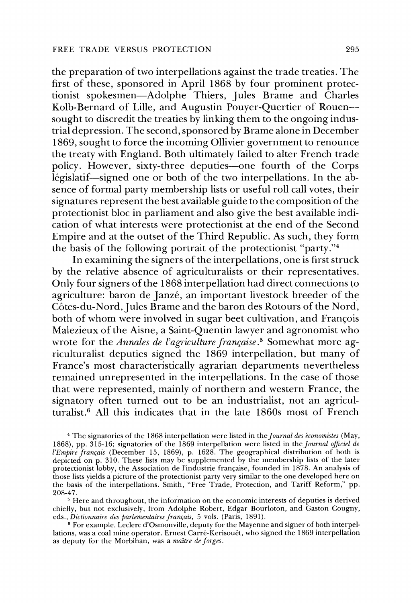**the preparation of two interpellations against the trade treaties. The first of these, sponsored in April 1868 by four prominent protectionist spokesmen-Adolphe Thiers, Jules Brame and Charles Kolb-Bernard of Lille, and Augustin Pouyer-Quertier of Rouensought to discredit the treaties by linking them to the ongoing industrial depression. The second, sponsored by Brame alone in December 1869, sought to force the incoming Ollivier government to renounce the treaty with England. Both ultimately failed to alter French trade policy. However, sixty-three deputies-one fourth of the Corps legislatif-signed one or both of the two interpellations. In the absence of formal party membership lists or useful roll call votes, their signatures represent the best available guide to the composition of the protectionist bloc in parliament and also give the best available indication of what interests were protectionist at the end of the Second Empire and at the outset of the Third Republic. As such, they form the basis of the following portrait of the protectionist "party."4** 

**In examining the signers of the interpellations, one is first struck by the relative absence of agriculturalists or their representatives. Only four signers of the 1868 interpellation had direct connections to agriculture: baron de Janze, an important livestock breeder of the**  Côtes-du-Nord, Jules Brame and the baron des Rotours of the Nord, both of whom were involved in sugar beet cultivation, and François **Malezieux of the Aisne, a Saint-Quentin lawyer and agronomist who**  wrote for the *Annales de l'agriculture française*.<sup>5</sup> Somewhat more ag**riculturalist deputies signed the 1869 interpellation, but many of France's most characteristically agrarian departments nevertheless remained unrepresented in the interpellations. In the case of those that were represented, mainly of northern and western France, the signatory often turned out to be an industrialist, not an agriculturalist.6 All this indicates that in the late 1860s most of French** 

<sup>&</sup>lt;sup>4</sup> The signatories of the 1868 interpellation were listed in the *Journal des économistes* (May, 1868), pp. 315-16; signatories of the 1869 interpellation were listed in the *Journal officiel de* **l'Empire franrais (December 15, 1869), p. 1628. The geographical distribution of both is depicted on p. 310. These lists may be supplemented by the membership lists of the later protectionist lobby, the Association de l'industrie francaise, founded in 1878. An analysis of those lists yields a picture of the protectionist party very similar to the one developed here on the basis of the interpellations. Smith, "Free Trade, Protection, and Tariff Reform," pp. 208-47.** 

**<sup>5</sup>Here and throughout, the information on the economic interests of deputies is derived chiefly, but not exclusively, from Adolphe Robert, Edgar Bourloton, and Gaston Cougny,**  eds., Dictionnaire des parlementaires français, 5 vols. (Paris, 1891).

**<sup>6</sup> For example, Leclerc d'Osmonville, deputy for the Mayenne and signer of both interpellations, was a coal mine operator. Ernest Carre-Kerisouit, who signed the 1869 interpellation as deputy for the Morbihan, was a maitre de forges.**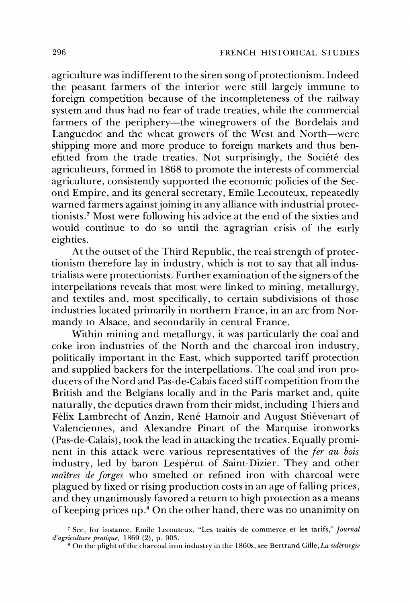**agriculture was indifferent to the siren song of protectionism. Indeed the peasant farmers of the interior were still largely immune to foreign competition because of the incompleteness of the railway system and thus had no fear of trade treaties, while the commercial**  farmers of the periphery—the winegrowers of the Bordelais and **Languedoc and the wheat growers of the West and North-were shipping more and more produce to foreign markets and thus benefitted from the trade treaties. Not surprisingly, the Societe des agriculteurs, formed in 1868 to promote the interests of commercial agriculture, consistently supported the economic policies of the Second Empire, and its general secretary, Emile Lecouteux, repeatedly warned farmers against joining in any alliance with industrial protectionists.7 Most were following his advice at the end of the sixties and would continue to do so until the agragrian crisis of the early eighties.** 

**At the outset of the Third Republic, the real strength of protectionism therefore lay in industry, which is not to say that all industrialists were protectionists. Further examination of the signers of the interpellations reveals that most were linked to mining, metallurgy, and textiles and, most specifically, to certain subdivisions of those industries located primarily in northern France, in an arc from Normandy to Alsace, and secondarily in central France.** 

**Within mining and metallurgy, it was particularly the coal and coke iron industries of the North and the charcoal iron industry, politically important in the East, which supported tariff protection and supplied backers for the interpellations. The coal and iron producers of the Nord and Pas-de-Calais faced stiff competition from the British and the Belgians locally and in the Paris market and, quite naturally, the deputies drawn from their midst, including Thiers and**  Félix Lambrecht of Anzin, René Hamoir and August Stiévenart of **Valenciennes, and Alexandre Pinart of the Marquise ironworks (Pas-de-Calais), took the lead in attacking the treaties. Equally promi**nent in this attack were various representatives of the *fer au bois* **industry, led by baron Lesperut of Saint-Dizier. They and other maitres de forges who smelted or refined iron with charcoal were plagued by fixed or rising production costs in an age of falling prices, and they unanimously favored a return to high protection as a means of keeping prices up.8 On the other hand, there was no unanimity on** 

<sup>&</sup>lt;sup>7</sup> See, for instance, Emile Lecouteux, "Les traités de commerce et les tarifs," Journal **d'agriculture pratique, 1869 (2), p. 903.** 

**<sup>8</sup>On the plight of the charcoal iron industry in the 1860s, see Bertrand Gille, La siderurgie**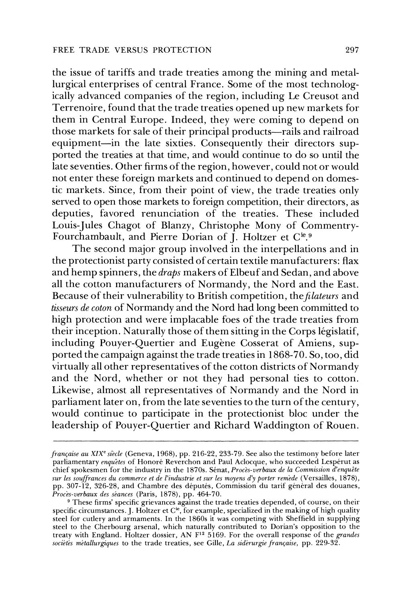**the issue of tariffs and trade treaties among the mining and metallurgical enterprises of central France. Some of the most technologically advanced companies of the region, including Le Creusot and Terrenoire, found that the trade treaties opened up new markets for them in Central Europe. Indeed, they were coming to depend on those markets for sale of their principal products-rails and railroad**  equipment—in the late sixties. Consequently their directors sup**ported the treaties at that time, and would continue to do so until the late seventies. Other firms of the region, however, could not or would not enter these foreign markets and continued to depend on domestic markets. Since, from their point of view, the trade treaties only served to open those markets to foreign competition, their directors, as deputies, favored renunciation of the treaties. These included Louis-Jules Chagot of Blanzy, Christophe Mony of Commentry-Fourchambault, and Pierre Dorian of J. Holtzer et cie.9** 

**The second major group involved in the interpellations and in the protectionist party consisted of certain textile manufacturers: flax and hemp spinners, the draps makers of Elbeuf and Sedan, and above all the cotton manufacturers of Normandy, the Nord and the East.**  Because of their vulnerability to British competition, the *filateurs* and **tisseurs de coton of Normandy and the Nord had long been committed to high protection and were implacable foes of the trade treaties from their inception. Naturally those of them sitting in the Corps legislatif,**  including Pouyer-Quertier and Eugène Cosserat of Amiens, sup**ported the campaign against the trade treaties in 1868-70. So, too, did virtually all other representatives of the cotton districts of Normandy and the Nord, whether or not they had personal ties to cotton. Likewise, almost all representatives of Normandy and the Nord in parliament later on, from the late seventies to the turn of the century, would continue to participate in the protectionist bloc under the leadership of Pouyer-Quertier and Richard Waddington of Rouen.** 

**francaise au XIXesiecle (Geneva, 1968), pp. 216-22, 233-79. See also the testimony before later**  parliamentary enquêtes of Honoré Reverchon and Paul Aclocque, who succeeded Lesperut as **chief spokesmen for the industry in the 1870s. Senat, Proces-verbaux de la Commission d'enquete sur les souffrances du commerce et de l'industrie et sur les moyens d'y porter remede (Versailles, 1878),**  pp. 307-12, 326-28, and Chambre des députés, Commission du tarif général des douanes, Procès-verbaux des séances (Paris, 1878), pp. 464-70.

**<sup>9</sup> These firms' specific grievances against the trade treaties depended, of course, on their**  specific circumstances. J. Holtzer et C<sup>ie</sup>, for example, specialized in the making of high quality **steel for cutlery and armaments. In the 1860s it was competing with Sheffield in supplying**  steel to the Cherbourg arsenal, which naturally contributed to Dorian's opposition to the **treaty with England. Holtzer dossier, AN F12 5169. For the overall response of the grandes**  sociétés métallurgiques to the trade treaties, see Gille, *La sidérurgie française*, pp. 229-32.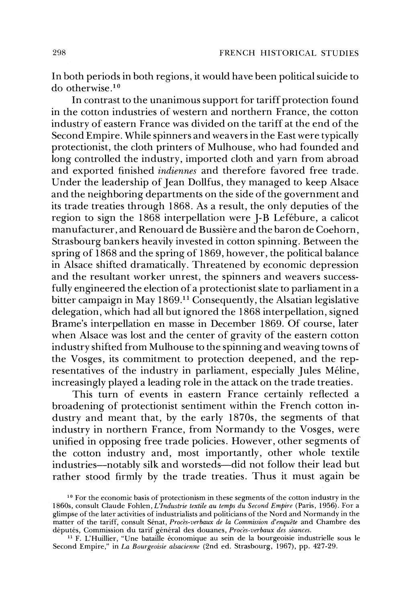**In both periods in both regions, it would have been political suicide to do otherwise.10** 

**In contrast to the unanimous support for tariff protection found in the cotton industries of western and northern France, the cotton industry of eastern France was divided on the tariff at the end of the Second Empire. While spinners and weavers in the East were typically protectionist, the cloth printers of Mulhouse, who had founded and long controlled the industry, imported cloth and yarn from abroad and exported finished indiennes and therefore favored free trade. Under the leadership of Jean Dollfus, they managed to keep Alsace and the neighboring departments on the side of the government and its trade treaties through 1868. As a result, the only deputies of the region to sign the 1868 interpellation were J-B Lefebure, a calicot manufacturer, and Renouard de Bussiere and the baron de Coehorn, Strasbourg bankers heavily invested in cotton spinning. Between the spring of 1868 and the spring of 1869, however, the political balance in Alsace shifted dramatically. Threatened by economic depression and the resultant worker unrest, the spinners and weavers successfully engineered the election of a protectionist slate to parliament in a**  bitter campaign in May 1869.<sup>11</sup> Consequently, the Alsatian legislative **delegation, which had all but ignored the 1868 interpellation, signed Brame's interpellation en masse in December 1869. Of course, later when Alsace was lost and the center of gravity of the eastern cotton industry shifted from Mulhouse to the spinning and weaving towns of the Vosges, its commitment to protection deepened, and the representatives of the industry in parliament, especially Jules Meline, increasingly played a leading role in the attack on the trade treaties.** 

**This turn of events in eastern France certainly reflected a broadening of protectionist sentiment within the French cotton industry and meant that, by the early 1870s, the segments of that industry in northern France, from Normandy to the Vosges, were unified in opposing free trade policies. However, other segments of the cotton industry and, most importantly, other whole textile industries-notably silk and worsteds-did not follow their lead but rather stood firmly by the trade treaties. Thus it must again be** 

**<sup>10</sup> For the economic basis of protectionism in these segments of the cotton industry in the 1860s, consult Claude Fohlen, L'Industrie textile au temps du Second Empire (Paris, 1956). For a glimpse of the later activities of industrialists and politicians of the Nord and Normandy in the**  matter of the tariff, consult Sénat, Procès-verbaux de la Commission d'enquête and Chambre des députés, Commission du tarif général des douanes, Proces-verbaux des séances.

<sup>&</sup>lt;sup>11</sup> F. L'Huillier, "Une bataille économique au sein de la bourgeoisie industrielle sous le Second Empire," in *La Bourgeoisie alsacienne* (2nd ed. Strasbourg, 1967), pp. 427-29.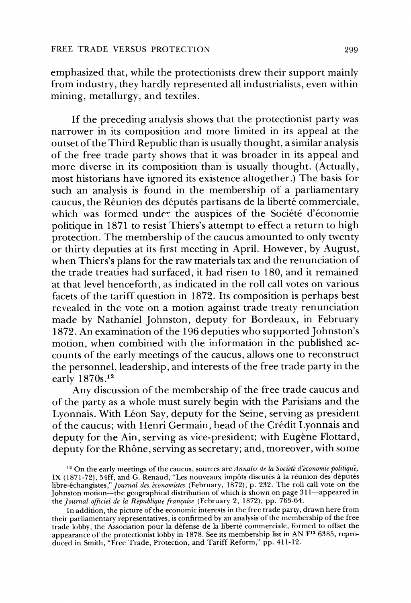**emphasized that, while the protectionists drew their support mainly from industry, they hardly represented all industrialists, even within mining, metallurgy, and textiles.** 

**If the preceding analysis shows that the protectionist party was narrower in its composition and more limited in its appeal at the outset of the Third Republic than is usually thought, a similar analysis of the free trade party shows that it was broader in its appeal and more diverse in its composition than is usually thought. (Actually, most historians have ignored its existence altogether.) The basis for such an analysis is found in the membership of a parliamentary caucus, the Reunion des deputes partisans de la liberte commerciale, which was formed under the auspices of the Societe d'economie politique in 1871 to resist Thiers's attempt to effect a return to high protection. The membership of the caucus amounted to only twenty or thirty deputies at its first meeting in April. However, by August, when Thiers's plans for the raw materials tax and the renunciation of the trade treaties had surfaced, it had risen to 180, and it remained at that level henceforth, as indicated in the roll call votes on various facets of the tariff question in 1872. Its composition is perhaps best revealed in the vote on a motion against trade treaty renunciation made by Nathaniel Johnston, deputy for Bordeaux, in February 1872. An examination of the 196 deputies who supported Johnston's motion, when combined with the information in the published accounts of the early meetings of the caucus, allows one to reconstruct the personnel, leadership, and interests of the free trade party in the early 1870s.12** 

**Any discussion of the membership of the free trade caucus and of the party as a whole must surely begin with the Parisians and the**  Lyonnais. With Léon Say, deputy for the Seine, serving as president **of the caucus; with Henri Germain, head of the Credit Lyonnais and**  deputy for the Ain, serving as vice-president; with Eugène Flottard, deputy for the Rhône, serving as secretary; and, moreover, with some

<sup>&</sup>lt;sup>12</sup> On the early meetings of the caucus, sources are Annales de la Société d'économie politique, IX (1871-72), 54ff, and G. Renaud, "Les nouveaux impôts discutés à la réunion des députés **libre-echangistes," Journal des economistes (February, 1872), p. 232. The roll call vote on the Johnston motion-the geographical distribution of which is shown on page 311-appeared in**  the Journal officiel de la République française (February 2, 1872), pp. 763-64.

**In addition, the picture of the economic interests in the free trade party, drawn here from their parliamentary representatives, is confirmed by an analysis of the membership of the free trade lobby, the Association pour la defense de la liberte commerciale, formed to offset the appearance of the protectionist lobby in 1878. See its membership list in AN F12 6385, reproduced in Smith, "Free Trade, Protection, and Tariff Reform," pp. 411-12.**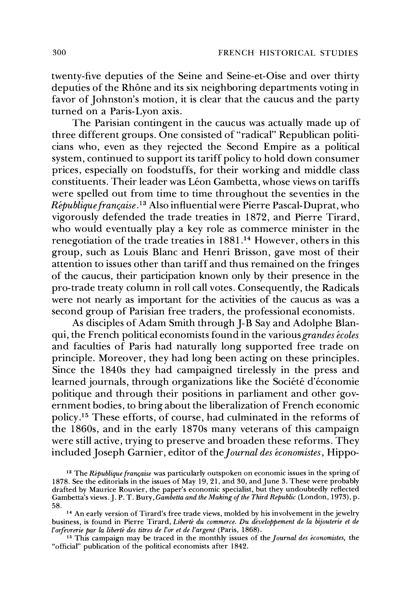**twenty-five deputies of the Seine and Seine-et-Oise and over thirty deputies of the Rhone and its six neighboring departments voting in favor of Johnston's motion, it is clear that the caucus and the party turned on a Paris-Lyon axis.** 

**The Parisian contingent in the caucus was actually made up of three different groups. One consisted of "radical" Republican politicians who, even as they rejected the Second Empire as a political system, continued to support its tariff policy to hold down consumer prices, especially on foodstuffs, for their working and middle class**  constituents. Their leader was Léon Gambetta, whose views on tariffs **were spelled out from time to time throughout the seventies in the Republiquefranaaise.13 Also influential were Pierre Pascal-Duprat, who vigorously defended the trade treaties in 1872, and Pierre Tirard, who would eventually play a key role as commerce minister in the renegotiation of the trade treaties in 1881.14 However, others in this group, such as Louis Blanc and Henri Brisson, gave most of their attention to issues other than tariff and thus remained on the fringes of the caucus, their participation known only by their presence in the pro-trade treaty column in roll call votes. Consequently, the Radicals were not nearly as important for the activities of the caucus as was a second group of Parisian free traders, the professional economists.** 

**As disciples of Adam Smith through J-B Say and Adolphe Blanqui, the French political economists found in the various grandes ecoles and faculties of Paris had naturally long supported free trade on principle. Moreover, they had long been acting on these principles. Since the 1840s they had campaigned tirelessly in the press and learned journals, through organizations like the Societe d'economie politique and through their positions in parliament and other government bodies, to bring about the liberalization of French economic policy.15 These efforts, of course, had culminated in the reforms of the 1860s, and in the early 1870s many veterans of this campaign were still active, trying to preserve and broaden these reforms. They**  included Joseph Garnier, editor of the *Journal des économistes*, Hippo-

<sup>&</sup>lt;sup>13</sup> The République française was particularly outspoken on economic issues in the spring of **1878. See the editorials in the issues of May 19, 21, and 30, and June 3. These were probably drafted by Maurice Rouvier, the paper's economic specialist, but they undoubtedly reflected Gambetta's views. J. P. T. Bury, Gambetta and the Making of the Third Republic (London, 1973), p. 58.** 

**<sup>14</sup>An early version of Tirard's free trade views, molded by his involvement in the jewelry**  business, is found in Pierre Tirard, Liberté du commerce. Du développement de la bijouterie et de l'orfevrerie par la liberté des titres de l'or et de l'argent (Paris, 1868).

<sup>&</sup>lt;sup>15</sup> This campaign may be traced in the monthly issues of the *Journal des economistes*, the **"official" publication of the political economists after 1842.**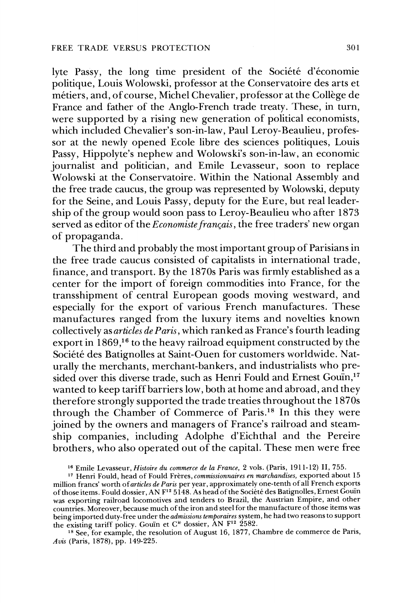**lyte Passy, the long time president of the Societe d'economie politique, Louis Wolowski, professor at the Conservatoire des arts et metiers, and, of course, Michel Chevalier, professor at the College de France and father of the Anglo-French trade treaty. These, in turn, were supported by a rising new generation of political economists, which included Chevalier's son-in-law, Paul Leroy-Beaulieu, professor at the newly opened Ecole libre des sciences politiques, Louis Passy, Hippolyte's nephew and Wolowski's son-in-law, an economic journalist and politician, and Emile Levasseur, soon to replace Wolowski at the Conservatoire. Within the National Assembly and the free trade caucus, the group was represented by Wolowski, deputy for the Seine, and Louis Passy, deputy for the Eure, but real leadership of the group would soon pass to Leroy-Beaulieu who after 1873**  served as editor of the *Economiste français*, the free traders' new organ **of propaganda.** 

**The third and probably the most important group of Parisians in the free trade caucus consisted of capitalists in international trade, finance, and transport. By the 1870s Paris was firmly established as a center for the import of foreign commodities into France, for the transshipment of central European goods moving westward, and especially for the export of various French manufactures. These manufactures ranged from the luxury items and novelties known collectively as articles de Paris, which ranked as France's fourth leading export in 1869,16 to the heavy railroad equipment constructed by the**  Société des Batignolles at Saint-Ouen for customers worldwide. Nat**urally the merchants, merchant-bankers, and industrialists who pre**sided over this diverse trade, such as Henri Fould and Ernest Gouin,<sup>17</sup> **wanted to keep tariff barriers low, both at home and abroad, and they therefore strongly supported the trade treaties throughout the 1870s through the Chamber of Commerce of Paris.18 In this they were joined by the owners and managers of France's railroad and steamship companies, including Adolphe d'Eichthal and the Pereire brothers, who also operated out of the capital. These men were free** 

**<sup>18</sup>See, for example, the resolution of August 16, 1877, Chambre de commerce de Paris, Avis (Paris, 1878), pp. 149-225.** 

**<sup>16</sup>Emile Levasseur, Histoire du commerce de la France, 2 vols. (Paris, 1911-12) II, 755.** 

<sup>&</sup>lt;sup>17</sup> Henri Fould, head of Fould Frères, commissionnaires en marchandises, exported about 15 **million francs' worth of articles de Paris per year, approximately one-tenth of all French exports of those items. Fould dossier, AN F'2 5148. As head of the Societe des Batignolles, Ernest Gouin was exporting railroad locomotives and tenders to Brazil, the Austrian Empire, and other countries. Moreover, because much of the iron and steel for the manufacture of those items was being imported duty-free under the admissions temporairesystem, he had two reasons to support the existing tariff policy. Gouin et Cie dossier, AN F'2 2582.**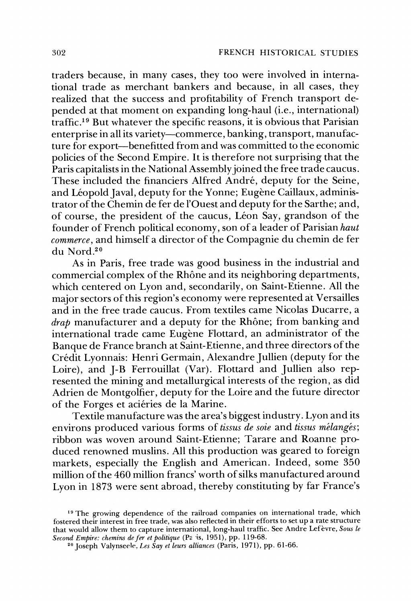**traders because, in many cases, they too were involved in international trade as merchant bankers and because, in all cases, they realized that the success and profitability of French transport depended at that moment on expanding long-haul (i.e., international) traffic.19 But whatever the specific reasons, it is obvious that Parisian enterprise in all its variety-commerce, banking, transport, manufacture for export-benefitted from and was committed to the economic policies of the Second Empire. It is therefore not surprising that the Paris capitalists in the National Assembly joined the free trade caucus. These included the financiers Alfred Andre, deputy for the Seine,**  and Léopold Javal, deputy for the Yonne; Eugène Caillaux, adminis**trator of the Chemin de fer de l'Ouest and deputy for the Sarthe; and, of course, the president of the caucus, Leon Say, grandson of the founder of French political economy, son of a leader of Parisian haut commerce, and himself a director of the Compagnie du chemin de fer du Nord.20** 

**As in Paris, free trade was good business in the industrial and**  commercial complex of the Rhône and its neighboring departments, **which centered on Lyon and, secondarily, on Saint-Etienne. All the major sectors of this region's economy were represented at Versailles and in the free trade caucus. From textiles came Nicolas Ducarre, a**  drap manufacturer and a deputy for the Rhône; from banking and **international trade came Eugene Flottard, an administrator of the Banque de France branch at Saint-Etienne, and three directors of the Credit Lyonnais: Henri Germain, Alexandre Jullien (deputy for the**  Loire), and I-B Ferrouillat (Var). Flottard and Jullien also rep**resented the mining and metallurgical interests of the region, as did Adrien de Montgolfier, deputy for the Loire and the future director of the Forges et acieries de la Marine.** 

**Textile manufacture was the area's biggest industry. Lyon and its**  environs produced various forms of *tissus de soie* and *tissus mélangés*; **ribbon was woven around Saint-Etienne; Tarare and Roanne produced renowned muslins. All this production was geared to foreign markets, especially the English and American. Indeed, some 350 million of the 460 million francs' worth of silks manufactured around Lyon in 1873 were sent abroad, thereby constituting by far France's** 

**<sup>19</sup> The growing dependence of the railroad companies on international trade, which fostered their interest in free trade, was also reflected in their efforts to set up a rate structure that would allow them to capture international, long-haul traffic. See Andre Lefevre, Sous le Second Empire: chemins defer et politique (Pa 'is, 1951), pp. 119-68.** 

**<sup>20</sup>Joseph Valynseele, Les Say et leurs alliances (Paris, 1971), pp. 61-66.**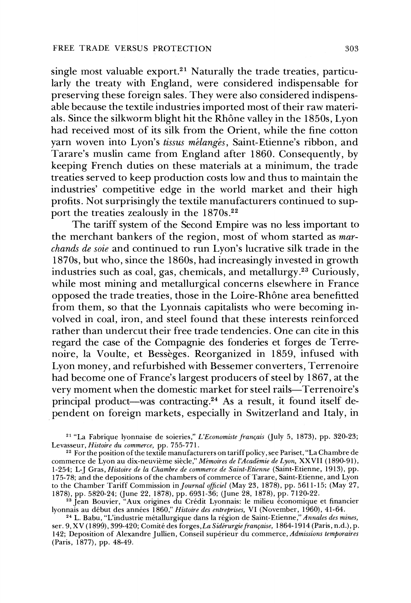single most valuable export.<sup>21</sup> Naturally the trade treaties, particu**larly the treaty with England, were considered indispensable for preserving these foreign sales. They were also considered indispensable because the textile industries imported most of their raw materi**als. Since the silkworm blight hit the Rhône valley in the 1850s, Lyon **had received most of its silk from the Orient, while the fine cotton**  yarn woven into Lyon's tissus mélangés, Saint-Etienne's ribbon, and **Tarare's muslin came from England after 1860. Consequently, by keeping French duties on these materials at a minimum, the trade treaties served to keep production costs low and thus to maintain the industries' competitive edge in the world market and their high profits. Not surprisingly the textile manufacturers continued to support the treaties zealously in the 1870s.22** 

**The tariff system of the Second Empire was no less important to the merchant bankers of the region, most of whom started as marchands de soie and continued to run Lyon's lucrative silk trade in the 1870s, but who, since the 1860s, had increasingly invested in growth industries such as coal, gas, chemicals, and metallurgy.23 Curiously, while most mining and metallurgical concerns elsewhere in France opposed the trade treaties, those in the Loire-Rhone area benefitted from them, so that the Lyonnais capitalists who were becoming involved in coal, iron, and steel found that these interests reinforced rather than undercut their free trade tendencies. One can cite in this regard the case of the Compagnie des fonderies et forges de Terrenoire, la Voulte, et Besseges. Reorganized in 1859, infused with Lyon money, and refurbished with Bessemer converters, Terrenoire had become one of France's largest producers of steel by 1867, at the very moment when the domestic market for steel rails-Terrenoire's**  principal product--was contracting.<sup>24</sup> As a result, it found itself de**pendent on foreign markets, especially in Switzerland and Italy, in** 

<sup>21</sup> "La Fabrique lyonnaise de soieries," L'Economiste français (July 5, 1873), pp. 320-23; **Levasseur, Histoire du commerce, pp. 755-771.** 

**<sup>22</sup>For the position of the textile manufacturers on tariff policy, see Pariset, "La Chambre de**  commerce de Lyon au dix-neuvième siècle," Mémoires de l'Académie de Lyon, XXVII (1890-91), **1-254; L-J Gras, Histoire de la Chambre de commerce de Saint-Etienne (Saint-Etienne, 1913), pp. 175-78; and the depositions of the chambers of commerce of Tarare, Saint-Etienne, and Lyon to the Chamber Tariff Commission in Journal officiel (May 23, 1878), pp. 5611-15; (May 27, 1878), pp. 5820-24; (June 22, 1878), pp. 6931-36; (June 28, 1878), pp. 7120-22.** 

<sup>23</sup> Jean Bouvier, "Aux origines du Crédit Lyonnais: le milieu économique et financier lyonnais au début des années 1860," *Histoire des entreprises*, VI (November, 1960), 41-64.

<sup>24</sup> L. Babu, "L'industrie métallurgique dans la région de Saint-Etienne," Annales des mines, ser. 9, XV (1899), 399-420; Comité des forges, *La Sidérurgie française*, 1864-1914 (Paris, n.d.), p. **142; Deposition of Alexandre Jullien, Conseil superieur du commerce, Admissions temporaires (Paris, 1877), pp. 48-49.**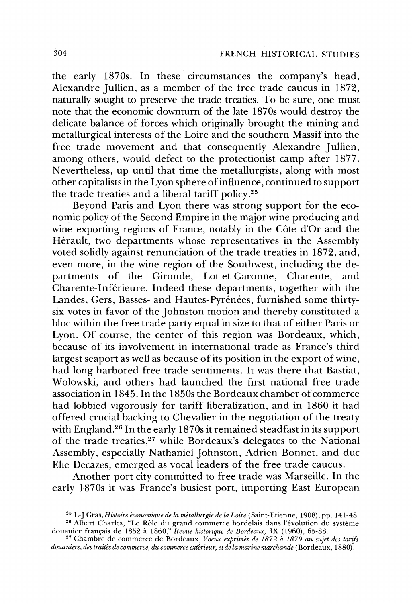**the early 1870s. In these circumstances the company's head, Alexandre Jullien, as a member of the free trade caucus in 1872, naturally sought to preserve the trade treaties. To be sure, one must note that the economic downturn of the late 1870s would destroy the delicate balance of forces which originally brought the mining and metallurgical interests of the Loire and the southern Massif into the free trade movement and that consequently Alexandre Jullien, among others, would defect to the protectionist camp after 1877. Nevertheless, up until that time the metallurgists, along with most other capitalists in the Lyon sphere of influence, continued to support the trade treaties and a liberal tariff policy.25** 

**Beyond Paris and Lyon there was strong support for the economic policy of the Second Empire in the major wine producing and**  wine exporting regions of France, notably in the Côte d'Or and the **Herault, two departments whose representatives in the Assembly voted solidly against renunciation of the trade treaties in 1872, and, even more, in the wine region of the Southwest, including the departments of the Gironde, Lot-et-Garonne, Charente, and Charente-Inferieure. Indeed these departments, together with the**  Landes, Gers, Basses- and Hautes-Pyrenees, furnished some thirty**six votes in favor of the Johnston motion and thereby constituted a bloc within the free trade party equal in size to that of either Paris or**  Lyon. Of course, the center of this region was Bordeaux, which, **because of its involvement in international trade as France's third largest seaport as well as because of its position in the export of wine, had long harbored free trade sentiments. It was there that Bastiat, Wolowski, and others had launched the first national free trade association in 1845. In the 1850s the Bordeaux chamber of commerce had lobbied vigorously for tariff liberalization, and in 1860 it had offered crucial backing to Chevalier in the negotiation of the treaty with England.26 In the early 1870s it remained steadfast in its support of the trade treaties,27 while Bordeaux's delegates to the National Assembly, especially Nathaniel Johnston, Adrien Bonnet, and duc Elie Decazes, emerged as vocal leaders of the free trade caucus.** 

**Another port city committed to free trade was Marseille. In the early 1870s it was France's busiest port, importing East European** 

<sup>&</sup>lt;sup>25</sup> L-J Gras, Histoire économique de la métallurgie de la Loire (Saint-Etienne, 1908), pp. 141-48.

**<sup>26</sup>Albert Charles, "Le Role du grand commerce bordelais dans l'evolution du systeme douanier francais de 1852 a 1860," Revue historique de Bordeaux, IX (1960), 65-88.** 

<sup>&</sup>lt;sup>27</sup> Chambre de commerce de Bordeaux, Voeux exprimés de 1872 à 1879 au sujet des tarifs **douaniers, des traites de commerce, du commerce exterieur, et de la marine marchande (Bordeaux, 1880).**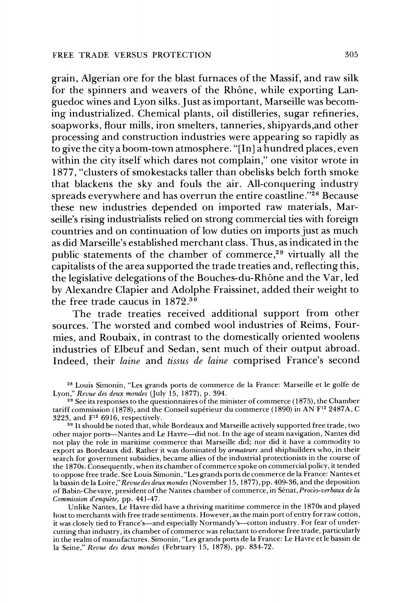**grain, Algerian ore for the blast furnaces of the Massif, and raw silk**  for the spinners and weavers of the Rhône, while exporting Lan**guedoc wines and Lyon silks. Just as important, Marseille was becoming industrialized. Chemical plants, oil distilleries, sugar refineries, soapworks, flour mills, iron smelters, tanneries, shipyards,and other processing and construction industries were appearing so rapidly as to give the city a boom-town atmosphere. "[In] a hundred places, even within the city itself which dares not complain," one visitor wrote in 1877, "clusters of smokestacks taller than obelisks belch forth smoke that blackens the sky and fouls the air. All-conquering industry spreads everywhere and has overrun the entire coastline."28 Because these new industries depended on imported raw materials, Marseille's rising industrialists relied on strong commercial ties with foreign countries and on continuation of low duties on imports just as much as did Marseille's established merchant class. Thus, as indicated in the public statements of the chamber of commerce,29 virtually all the capitalists of the area supported the trade treaties and, reflecting this,**  the legislative delegations of the Bouches-du-Rhône and the Var, led **by Alexandre Clapier and Adolphe Fraissinet, added their weight to the free trade caucus in 1872.30** 

**The trade treaties received additional support from other sources. The worsted and combed wool industries of Reims, Fourmies, and Roubaix, in contrast to the domestically oriented woolens industries of Elbeuf and Sedan, sent much of their output abroad. Indeed, their laine and tissus de laine comprised France's second** 

**<sup>30</sup>It should be noted that, while Bordeaux and Marseille actively supported free trade, two other major ports-Nantes and Le Havre-did not. In the age of steam navigation, Nantes did not play the role in maritime commerce that Marseille did; nor did it have a commodity to export as Bordeaux did. Rather it was dominated by armateurs and shipbuilders who, in their search for government subsidies, became allies of the industrial protectionists in the course of the 1870s. Consequently, when its chamber of commerce spoke on commercial policy, it tended to oppose free trade. See Louis Simonin, "Les grands ports de commerce de la France: Nantes et la bassin de la Loire," Revue des deux mondes (November 15, 1877), pp. 409-36, and the deposition of Babin-Chevaye, president of the Nantes chamber of commerce, in Senat, Proces-verbaux de la**  Commission d'enquête, pp. 441-47.

**Unlike Nantes, Le Havre did have a thriving maritime commerce in the 1870s and played host to merchants with free trade sentiments. However, as the main port of entry for raw cotton,**  it was closely tied to France's-and especially Normandy's-cotton industry. For fear of under**cutting that industry, its chamber of commerce was reluctant to endorse free trade, particularly in the realm of manufactures. Simonin, "Les grands ports de la France: Le Havre et le bassin de la Seine," Revue des deux mondes (February 15, 1878), pp. 834-72.** 

**<sup>28</sup>Louis Simonin, "Les grands ports de commerce de la France: Marseille et le golfe de Lyon," Revue des deux mondes (July 15, 1877), p. 394.** 

**<sup>29</sup>See its responses to the questionnaires of the minister of commerce (1875), the Chamber tariff commission (1878), and the Conseil superieur du commerce (1890) in AN F12 2487A, C 3223, and F12 6916, respectively.**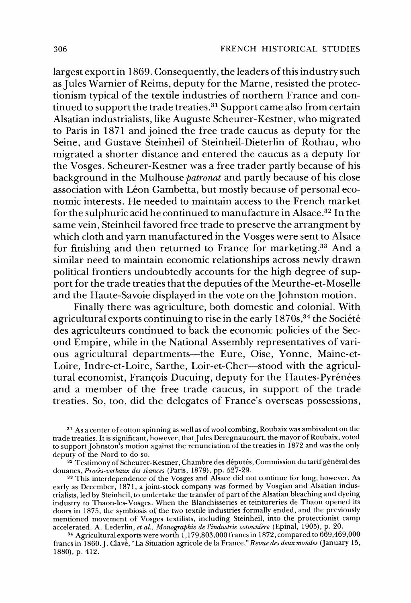**largest export in 1869. Consequently, the leaders of this industry such as Jules Warnier of Reims, deputy for the Marne, resisted the protectionism typical of the textile industries of northern France and continued to support the trade treaties.31 Support came also from certain Alsatian industrialists, like Auguste Scheurer-Kestner, who migrated to Paris in 1871 and joined the free trade caucus as deputy for the Seine, and Gustave Steinheil of Steinheil-Dieterlin of Rothau, who migrated a shorter distance and entered the caucus as a deputy for the Vosges. Scheurer-Kestner was a free trader partly because of his background in the Mulhouse patronat and partly because of his close**  association with Léon Gambetta, but mostly because of personal eco**nomic interests. He needed to maintain access to the French market for the sulphuric acid he continued to manufacture in Alsace.32 In the same vein, Steinheil favored free trade to preserve the arrangment by which cloth and yarn manufactured in the Vosges were sent to Alsace for finishing and then returned to France for marketing.33 And a similar need to maintain economic relationships across newly drawn political frontiers undoubtedly accounts for the high degree of support for the trade treaties that the deputies of the Meurthe-et-Moselle and the Haute-Savoie displayed in the vote on the Johnston motion.** 

**Finally there was agriculture, both domestic and colonial. With agricultural exports continuing to rise in the early 1870s,34 the Societe des agriculteurs continued to back the economic policies of the Second Empire, while in the National Assembly representatives of vari**ous agricultural departments-the Eure, Oise, Yonne, Maine-et-**Loire, Indre-et-Loire, Sarthe, Loir-et-Cher-stood with the agricul**tural economist, François Ducuing, deputy for the Hautes-Pyrenees **and a member of the free trade caucus, in support of the trade treaties. So, too, did the delegates of France's overseas possessions,** 

**<sup>31</sup>As a center of cotton spinning as well as of wool combing, Roubaix was ambivalent on the**  trade treaties. It is significant, however, that Jules Deregnaucourt, the mayor of Roubaix, voted **to support Johnston's motion against the renunciation of the treaties in 1872 and was the only deputy of the Nord to do so.** 

 $32^{'}$  Testimony of Scheurer-Kestner, Chambre des députés, Commission du tarif général des

**douanes, Proces-verbaux des seances (Paris, 1879), pp. 527-29. <sup>33</sup>This interdependence of the Vosges and Alsace did not continue for long, however. As early as December, 1871, a joint-stock company was formed by Vosgian and Alsatian industrialists, led by Steinheil, to undertake the transfer of part of the Alsatian bleaching and dyeing industry to Thaon-les-Vosges. When the Blanchisseries et teintureries de Thaon opened its doors in 1875, the symbiosis of the two textile industries formally ended, and the previously mentioned movement of Vosges textilists, including Steinheil, into the protectionist camp accelerated. A. Lederlin, et al., Monographie de l'industrie cotonniere (Epinal, 1905), p. 20.** 

**<sup>34</sup>Agricultural exports were worth 1,179,803,000 francs in 1872, compared to 669,469,000 francs in 1860. J. Clave, "La Situation agricole de la France," Revue des deux mondes (January 15, 1880), p. 412.**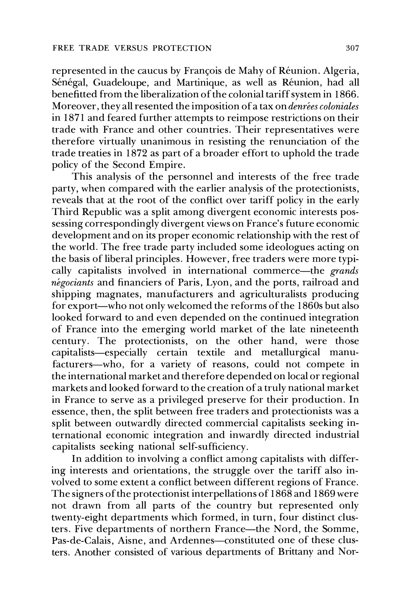**represented in the caucus by Francois de Mahy of Reunion. Algeria,**  Sénégal, Guadeloupe, and Martinique, as well as Réunion, had all **benefitted from the liberalization of the colonial tariff system in 1866.**  Moreover, they all resented the imposition of a tax on *denrées coloniales* **in 1871 and feared further attempts to reimpose restrictions on their trade with France and other countries. Their representatives were therefore virtually unanimous in resisting the renunciation of the trade treaties in 1872 as part of a broader effort to uphold the trade policy of the Second Empire.** 

**This analysis of the personnel and interests of the free trade party, when compared with the earlier analysis of the protectionists, reveals that at the root of the conflict over tariff policy in the early Third Republic was a split among divergent economic interests possessing correspondingly divergent views on France's future economic development and on its proper economic relationship with the rest of the world. The free trade party included some ideologues acting on the basis of liberal principles. However, free traders were more typically capitalists involved in international commerce-the grands negociants and financiers of Paris, Lyon, and the ports, railroad and shipping magnates, manufacturers and agriculturalists producing for export-who not only welcomed the reforms of the 1860s but also looked forward to and even depended on the continued integration of France into the emerging world market of the late nineteenth century. The protectionists, on the other hand, were those capitalists-especially certain textile and metallurgical manufacturers-who, for a variety of reasons, could not compete in the international market and therefore depended on local or regional markets and looked forward to the creation of a truly national market in France to serve as a privileged preserve for their production. In essence, then, the split between free traders and protectionists was a split between outwardly directed commercial capitalists seeking international economic integration and inwardly directed industrial capitalists seeking national self-sufficiency.** 

**In addition to involving a conflict among capitalists with differing interests and orientations, the struggle over the tariff also involved to some extent a conflict between different regions of France. The signers of the protectionist interpellations of 1868 and 1869 were not drawn from all parts of the country but represented only twenty-eight departments which formed, in turn, four distinct clusters. Five departments of northern France-the Nord, the Somme,**  Pas-de-Calais, Aisne, and Ardennes—constituted one of these clus**ters. Another consisted of various departments of Brittany and Nor-**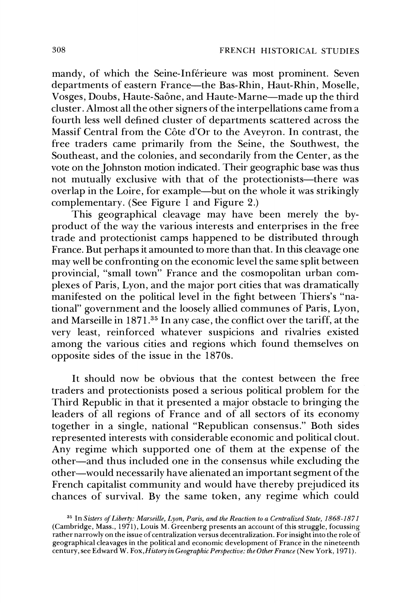mandy, of which the Seine-Inférieure was most prominent. Seven **departments of eastern France-the Bas-Rhin, Haut-Rhin, Moselle, Vosges, Doubs, Haute-Saone, and Haute-Marne-made up the third cluster. Almost all the other signers of the interpellations came from a fourth less well defined cluster of departments scattered across the Massif Central from the C6te d'Or to the Aveyron. In contrast, the free traders came primarily from the Seine, the Southwest, the Southeast, and the colonies, and secondarily from the Center, as the vote on the Johnston motion indicated. Their geographic base was thus not mutually exclusive with that of the protectionists-there was overlap in the Loire, for example-but on the whole it was strikingly complementary. (See Figure 1 and Figure 2.)** 

**This geographical cleavage may have been merely the byproduct of the way the various interests and enterprises in the free trade and protectionist camps happened to be distributed through France. But perhaps it amounted to more than that. In this cleavage one may well be confronting on the economic level the same split between provincial, "small town" France and the cosmopolitan urban complexes of Paris, Lyon, and the major port cities that was dramatically manifested on the political level in the fight between Thiers's "national" government and the loosely allied communes of Paris, Lyon, and Marseille in 1871.35 In any case, the conflict over the tariff, at the very least, reinforced whatever suspicions and rivalries existed among the various cities and regions which found themselves on opposite sides of the issue in the 1870s.** 

**It should now be obvious that the contest between the free traders and protectionists posed a serious political problem for the Third Republic in that it presented a major obstacle to bringing the leaders of all regions of France and of all sectors of its economy together in a single, national "Republican consensus." Both sides represented interests with considerable economic and political clout. Any regime which supported one of them at the expense of the other-and thus included one in the consensus while excluding the other-would necessarily have alienated an important segment of the French capitalist community and would have thereby prejudiced its chances of survival. By the same token, any regime which could** 

**<sup>35</sup> In Sisters of Liberty: Marseille, Lyon, Paris, and the Reaction to a Centralized State, 1868-1871 (Cambridge, Mass., 1971), Louis M. Greenberg presents an account of this struggle, focussing rather narrowly on the issue of centralization versus decentralization. For insight into the role of geographical cleavages in the political and economic development of France in the nineteenth century, see Edward W. Fox,History in Geographic Perspective: the Other France (New York, 1971).**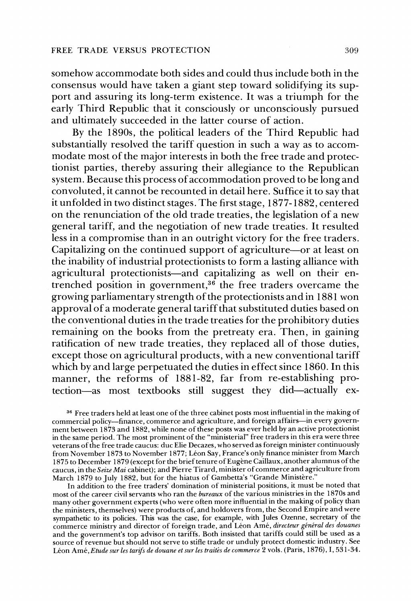**somehow accommodate both sides and could thus include both in the consensus would have taken a giant step toward solidifying its support and assuring its long-term existence. It was a triumph for the early Third Republic that it consciously or unconsciously pursued and ultimately succeeded in the latter course of action.** 

**By the 1890s, the political leaders of the Third Republic had substantially resolved the tariff question in such a way as to accommodate most of the major interests in both the free trade and protectionist parties, thereby assuring their allegiance to the Republican system. Because this process of accommodation proved to be long and convoluted, it cannot be recounted in detail here. Suffice it to say that it unfolded in two distinct stages. The first stage, 1877-1882, centered on the renunciation of the old trade treaties, the legislation of a new general tariff, and the negotiation of new trade treaties. It resulted less in a compromise than in an outright victory for the free traders. Capitalizing on the continued support of agriculture-or at least on the inability of industrial protectionists to form a lasting alliance with**  agricultural protectionists—and capitalizing as well on their en**trenched position in government,36 the free traders overcame the growing parliamentary strength of the protectionists and in 1881 won approval of a moderate general tariff that substituted duties based on the conventional duties in the trade treaties for the prohibitory duties remaining on the books from the pretreaty era. Then, in gaining ratification of new trade treaties, they replaced all of those duties, except those on agricultural products, with a new conventional tariff which by and large perpetuated the duties in effect since 1860. In this manner, the reforms of 1881-82, far from re-establishing protection-as most textbooks still suggest they did-actually ex-**

**<sup>36</sup>Free traders held at least one of the three cabinet posts most influential in the making of**  commercial policy-finance, commerce and agriculture, and foreign affairs-in every govern**ment between 1873 and 1882, while none of these posts was ever held by an active protectionist in the same period. The most prominent of the "ministerial" free traders in this era were three veterans of the free trade caucus: duc Elie Decazes, who served as foreign minister continuously from November 1873 to November 1877; Leon Say, France's only finance minister from March 1875 to December 1879 (except for the brief tenure of Eugene Caillaux, another alumnus of the caucus, in the Seize Mai cabinet); and Pierre Tirard, minister of commerce and agriculture from March 1879 to July 1882, but for the hiatus of Gambetta's "Grande Ministere."** 

In addition to the free traders' domination of ministerial positions, it must be noted that **most of the career civil servants who ran the bureaux of the various ministries in the 1870s and many other government experts (who were often more influential in the making of policy than the ministers, themselves) were products of, and holdovers from, the Second Empire and were sympathetic to its policies. This was the case, for example, with Jules Ozenne, secretary of the commerce ministry and director of foreign trade, and Leon Ame, directeur general des douanes and the government's top advisor on tariffs. Both insisted that tariffs could still be used as a source of revenue but should not serve to stifle trade or unduly protect domestic industry. See**  Léon Amé, *Etude sur les tarifs de douane et sur les traités de commerce* 2 vols. (Paris, 1876), I, 531-34.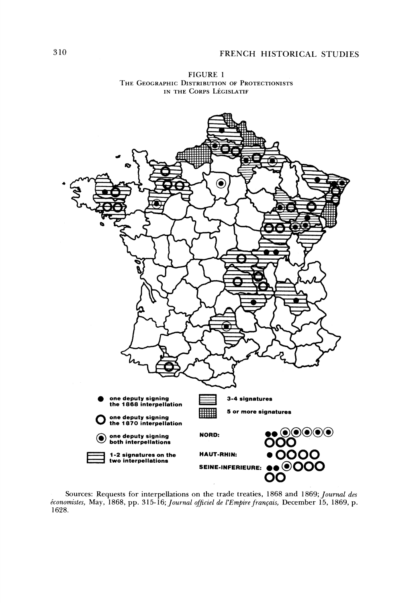



**Sources: Requests for interpellations on the trade treaties, 1868 and 1869; Journal des economistes, May, 1868, pp. 315-16; Journal officiel de I'Empirefranfais, December 15, 1869, p. 1628.**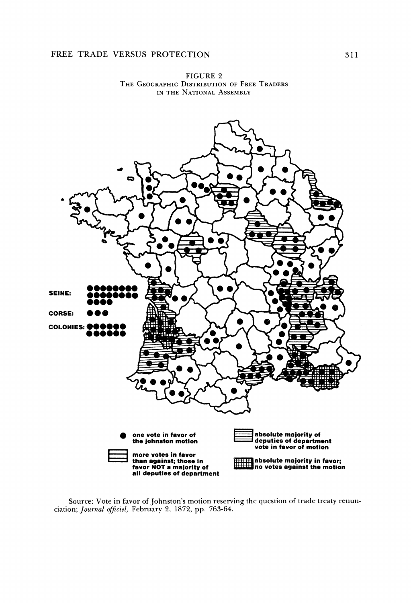**SEINE: <u>OCOOOOO</u>**  $CORSE:$ **COLONIES: 000000 000000 \* one vote in favor of the johnston motion | more votes in favor than against; those in favor NOT a majority of all deputies of department absolute majority of<br>deputies of departmer<br>vote in favor of motior absolute majority in favor; no votes against the motion a** 

**FIGURE 2 THE GEOGRAPHIC DISTRIBUTION OF FREE TRADERS IN THE NATIONAL ASSEMBLY** 

**Source: Vote in favor of Johnston's motion reserving the question of trade treaty renunciation; Journal officiel, February 2, 1872, pp. 763-64.**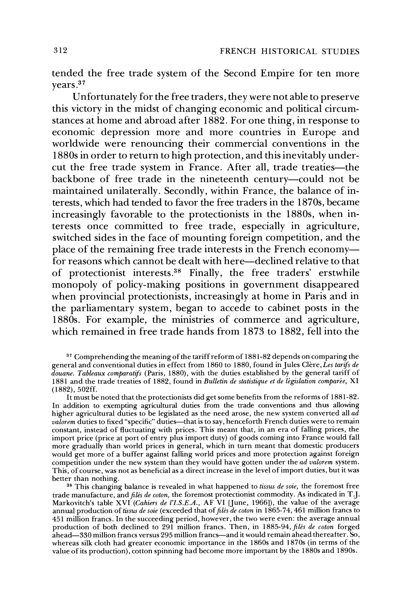**tended the free trade system of the Second Empire for ten more years.37** 

**Unfortunately for the free traders, they were not able to preserve this victory in the midst of changing economic and political circumstances at home and abroad after 1882. For one thing, in response to economic depression more and more countries in Europe and worldwide were renouncing their commercial conventions in the 1880s in order to return to high protection, and this inevitably undercut the free trade system in France. After all, trade treaties-the backbone of free trade in the nineteenth century-could not be maintained unilaterally. Secondly, within France, the balance of interests, which had tended to favor the free traders in the 1870s, became increasingly favorable to the protectionists in the 1880s, when interests once committed to free trade, especially in agriculture, switched sides in the face of mounting foreign competition, and the place of the remaining free trade interests in the French economyfor reasons which cannot be dealt with here-declined relative to that of protectionist interests.38 Finally, the free traders' erstwhile monopoly of policy-making positions in government disappeared when provincial protectionists, increasingly at home in Paris and in the parliamentary system, began to accede to cabinet posts in the 1880s. For example, the ministries of commerce and agriculture, which remained in free trade hands from 1873 to 1882, fell into the** 

**It must be noted that the protectionists did get some benefits from the reforms of 1881-82. In addition to exempting agricultural duties from the trade conventions and thus allowing higher agricultural duties to be legislated as the need arose, the new system converted all ad valorem duties to fixed "specific" duties-that is to say, henceforth French duties were to remain constant, instead of fluctuating with prices. This meant that, in an era of falling prices, the import price (price at port of entry plus import duty) of goods coming into France would fall more gradually than world prices in general, which in turn meant that domestic producers would get more of a buffer against falling world prices and more protection against foreign competition under the new system than they would have gotten under the ad valorem system. This, of course, was not as beneficial as a direct increase in the level of import duties, but it was** 

<sup>38</sup> This changing balance is revealed in what happened to tissus de soie, the foremost free trade manufacture, and *files de coton*, the foremost protectionist commodity. As indicated in T.J. **Markovitch's table XVI (Cahiers de l'I.S.E.A., AF VI [June, 1966]), the value of the average**  annual production of *tissus de soie* (exceeded that of *filés de coton* in 1865-74, 461 million francs to **451 million francs. In the succeeding period, however, the two were even: the average annual**  production of both declined to 291 million francs. Then, in 1885-94, *filés de coton* forged **ahead-330 million francs versus 295 million francs-and it would remain ahead thereafter. So, whereas silk cloth had greater economic importance in the 1860s and 1870s (in terms of the value of its production), cotton spinning had become more important by the 1880s and 1890s.** 

**<sup>37</sup>Comprehending the meaning of the tariff reform of 1881-82 depends on comparing the general and conventional duties in effect from 1860 to 1880, found in Jules Clere, Les tarifs de douane. Tableaux comparatifs (Paris, 1880), with the duties established by the general tariff of**  1881 and the trade treaties of 1882, found in Bulletin de statistique et de législation comparée, XI **(1882), 502ff.**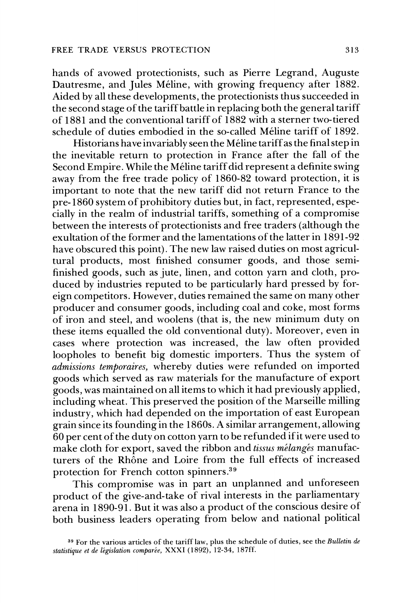**hands of avowed protectionists, such as Pierre Legrand, Auguste Dautresme, and Jules Meline, with growing frequency after 1882. Aided by all these developments, the protectionists thus succeeded in the second stage of the tariff battle in replacing both the general tariff of 1881 and the conventional tariff of 1882 with a sterner two-tiered schedule of duties embodied in the so-called Meline tariff of 1892.** 

**Historians have invariably seen the Meline tariff as the final step in the inevitable return to protection in France after the fall of the Second Empire. While the Meline tariff did represent a definite swing away from the free trade policy of 1860-82 toward protection, it is important to note that the new tariff did not return France to the pre-1860 system of prohibitory duties but, in fact, represented, especially in the realm of industrial tariffs, something of a compromise between the interests of protectionists and free traders (although the exultation of the former and the lamentations of the latter in 1891-92 have obscured this point). The new law raised duties on most agricultural products, most finished consumer goods, and those semifinished goods, such as jute, linen, and cotton yarn and cloth, produced by industries reputed to be particularly hard pressed by foreign competitors. However, duties remained the same on many other producer and consumer goods, including coal and coke, most forms of iron and steel, and woolens (that is, the new minimum duty on these items equalled the old conventional duty). Moreover, even in cases where protection was increased, the law often provided loopholes to benefit big domestic importers. Thus the system of admissions temporaires, whereby duties were refunded on imported goods which served as raw materials for the manufacture of export goods, was maintained on all items to which it had previously applied, including wheat. This preserved the position of the Marseille milling industry, which had depended on the importation of east European grain since its founding in the 1860s. A similar arrangement, allowing 60 per cent of the duty on cotton yarn to be refunded if it were used to**  make cloth for export, saved the ribbon and *tissus mélangés* manufacturers of the Rhone and Loire from the full effects of increased **protection for French cotton spinners.39** 

**This compromise was in part an unplanned and unforeseen product of the give-and-take of rival interests in the parliamentary arena in 1890-91. But it was also a product of the conscious desire of both business leaders operating from below and national political** 

**<sup>39</sup>For the various articles of the tariff law, plus the schedule of duties, see the Bulletin de**  statistique et de législation comparée, XXXI (1892), 12-34, 187ff.